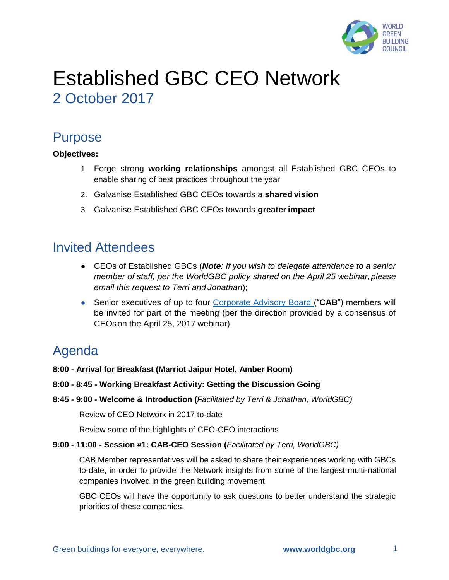

# Established GBC CEO Network 2 October 2017

# Purpose

# **Objectives:**

- 1. Forge strong **working relationships** amongst all Established GBC CEOs to enable sharing of best practices throughout the year
- 2. Galvanise Established GBC CEOs towards a **shared vision**
- 3. Galvanise Established GBC CEOs towards **greaterimpact**

# Invited Attendees

- CEOs of Established GBCs (*Note: If you wish to delegate attendance to a senior member of staff, per the WorldGBC policy shared on the April 25 webinar, please email this request to Terri and Jonathan*);
- Senior executives of up to four Corporate Advisory Board ("**CAB**") members will be invited for part of the meeting (per the direction provided by a consensus of CEOson the April 25, 2017 webinar).

# Agenda

- **8:00 - Arrival for Breakfast (Marriot Jaipur Hotel, Amber Room)**
- **8:00 - 8:45 - Working Breakfast Activity: Getting the Discussion Going**
- **8:45 - 9:00 - Welcome & Introduction (***Facilitated by Terri & Jonathan, WorldGBC)*

Review of CEO Network in 2017 to-date

Review some of the highlights of CEO-CEO interactions

**9:00 - 11:00 - Session #1: CAB-CEO Session (***Facilitated by Terri, WorldGBC)*

CAB Member representatives will be asked to share their experiences working with GBCs to-date, in order to provide the Network insights from some of the largest multi-national companies involved in the green building movement.

GBC CEOs will have the opportunity to ask questions to better understand the strategic priorities of these companies.